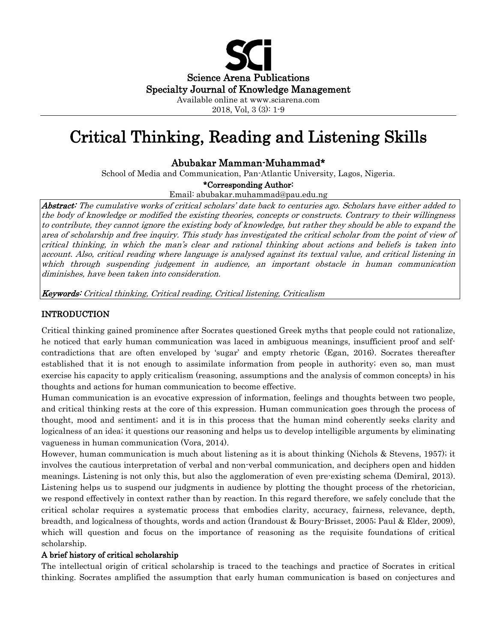

2018, Vol, 3 (3): 1-9

# Critical Thinking, Reading and Listening Skills

# Abubakar Mamman-Muhammad\*

School of Media and Communication, Pan-Atlantic University, Lagos, Nigeria.

## \*Corresponding Author:

Email: abubakar.muhammad@pau.edu.ng

Abstract: The cumulative works of critical scholars' date back to centuries ago. Scholars have either added to the body of knowledge or modified the existing theories, concepts or constructs. Contrary to their willingness to contribute, they cannot ignore the existing body of knowledge, but rather they should be able to expand the area of scholarship and free inquiry. This study has investigated the critical scholar from the point of view of critical thinking, in which the man's clear and rational thinking about actions and beliefs is taken into account. Also, critical reading where language is analysed against its textual value, and critical listening in which through suspending judgement in audience, an important obstacle in human communication diminishes, have been taken into consideration.

Keywords: Critical thinking, Critical reading, Critical listening, Criticalism

# INTRODUCTION

Critical thinking gained prominence after Socrates questioned Greek myths that people could not rationalize, he noticed that early human communication was laced in ambiguous meanings, insufficient proof and selfcontradictions that are often enveloped by 'sugar' and empty rhetoric (Egan, 2016). Socrates thereafter established that it is not enough to assimilate information from people in authority; even so, man must exercise his capacity to apply criticalism (reasoning, assumptions and the analysis of common concepts) in his thoughts and actions for human communication to become effective.

Human communication is an evocative expression of information, feelings and thoughts between two people, and critical thinking rests at the core of this expression. Human communication goes through the process of thought, mood and sentiment; and it is in this process that the human mind coherently seeks clarity and logicalness of an idea; it questions our reasoning and helps us to develop intelligible arguments by eliminating vagueness in human communication (Vora, 2014).

However, human communication is much about listening as it is about thinking (Nichols & Stevens, 1957); it involves the cautious interpretation of verbal and non-verbal communication, and deciphers open and hidden meanings. Listening is not only this, but also the agglomeration of even pre-existing schema (Demiral, 2013). Listening helps us to suspend our judgments in audience by plotting the thought process of the rhetorician, we respond effectively in context rather than by reaction. In this regard therefore, we safely conclude that the critical scholar requires a systematic process that embodies clarity, accuracy, fairness, relevance, depth, breadth, and logicalness of thoughts, words and action (Irandoust & Boury-Brisset, 2005; Paul & Elder, 2009), which will question and focus on the importance of reasoning as the requisite foundations of critical scholarship.

### A brief history of critical scholarship

The intellectual origin of critical scholarship is traced to the teachings and practice of Socrates in critical thinking. Socrates amplified the assumption that early human communication is based on conjectures and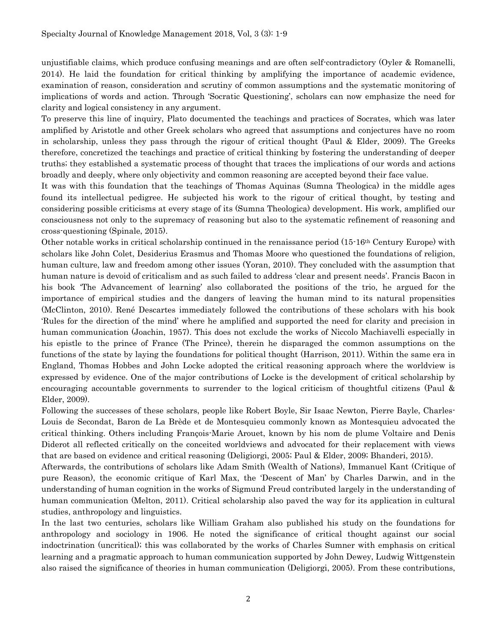unjustifiable claims, which produce confusing meanings and are often self-contradictory (Oyler & Romanelli, 2014). He laid the foundation for critical thinking by amplifying the importance of academic evidence, examination of reason, consideration and scrutiny of common assumptions and the systematic monitoring of implications of words and action. Through 'Socratic Questioning', scholars can now emphasize the need for clarity and logical consistency in any argument.

To preserve this line of inquiry, Plato documented the teachings and practices of Socrates, which was later amplified by Aristotle and other Greek scholars who agreed that assumptions and conjectures have no room in scholarship, unless they pass through the rigour of critical thought (Paul & Elder, 2009). The Greeks therefore, concretized the teachings and practice of critical thinking by fostering the understanding of deeper truths; they established a systematic process of thought that traces the implications of our words and actions broadly and deeply, where only objectivity and common reasoning are accepted beyond their face value.

It was with this foundation that the teachings of Thomas Aquinas (Sumna Theologica) in the middle ages found its intellectual pedigree. He subjected his work to the rigour of critical thought, by testing and considering possible criticisms at every stage of its (Sumna Theologica) development. His work, amplified our consciousness not only to the supremacy of reasoning but also to the systematic refinement of reasoning and cross-questioning (Spinale, 2015).

Other notable works in critical scholarship continued in the renaissance period (15-16th Century Europe) with scholars like John Colet, Desiderius Erasmus and Thomas Moore who questioned the foundations of religion, human culture, law and freedom among other issues (Yoran, 2010). They concluded with the assumption that human nature is devoid of criticalism and as such failed to address 'clear and present needs'. Francis Bacon in his book 'The Advancement of learning' also collaborated the positions of the trio, he argued for the importance of empirical studies and the dangers of leaving the human mind to its natural propensities (McClinton, 2010). René Descartes immediately followed the contributions of these scholars with his book 'Rules for the direction of the mind' where he amplified and supported the need for clarity and precision in human communication (Joachin, 1957). This does not exclude the works of Niccolo Machiavelli especially in his epistle to the prince of France (The Prince), therein he disparaged the common assumptions on the functions of the state by laying the foundations for political thought (Harrison, 2011). Within the same era in England, Thomas Hobbes and John Locke adopted the critical reasoning approach where the worldview is expressed by evidence. One of the major contributions of Locke is the development of critical scholarship by encouraging accountable governments to surrender to the logical criticism of thoughtful citizens (Paul & Elder, 2009).

Following the successes of these scholars, people like Robert Boyle, Sir Isaac Newton, Pierre Bayle, Charles-Louis de Secondat, Baron de La Brède et de Montesquieu commonly known as Montesquieu advocated the critical thinking. Others including François-Marie Arouet, known by his nom de plume Voltaire and Denis Diderot all reflected critically on the conceited worldviews and advocated for their replacement with views that are based on evidence and critical reasoning (Deligiorgi, 2005; Paul & Elder, 2009; Bhanderi, 2015).

Afterwards, the contributions of scholars like Adam Smith (Wealth of Nations), Immanuel Kant (Critique of pure Reason), the economic critique of Karl Max, the 'Descent of Man' by Charles Darwin, and in the understanding of human cognition in the works of Sigmund Freud contributed largely in the understanding of human communication (Melton, 2011). Critical scholarship also paved the way for its application in cultural studies, anthropology and linguistics.

In the last two centuries, scholars like William Graham also published his study on the foundations for anthropology and sociology in 1906. He noted the significance of critical thought against our social indoctrination (uncritical); this was collaborated by the works of Charles Sumner with emphasis on critical learning and a pragmatic approach to human communication supported by John Dewey, Ludwig Wittgenstein also raised the significance of theories in human communication (Deligiorgi, 2005). From these contributions,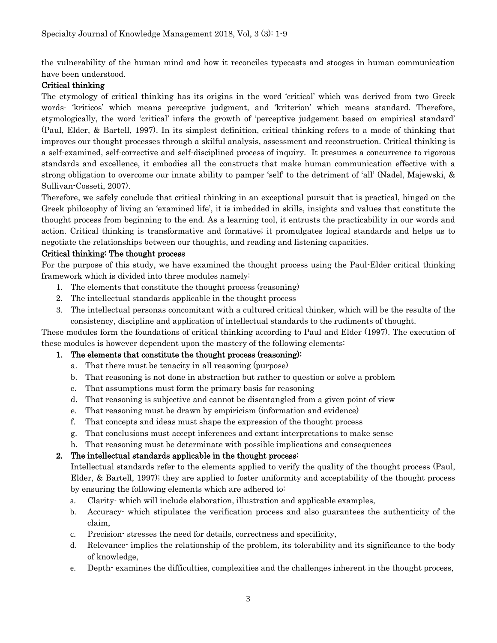the vulnerability of the human mind and how it reconciles typecasts and stooges in human communication have been understood.

## Critical thinking

The etymology of critical thinking has its origins in the word 'critical' which was derived from two Greek words- 'kriticos' which means perceptive judgment, and 'kriterion' which means standard. Therefore, etymologically, the word 'critical' infers the growth of 'perceptive judgement based on empirical standard' (Paul, Elder, & Bartell, 1997). In its simplest definition, critical thinking refers to a mode of thinking that improves our thought processes through a skilful analysis, assessment and reconstruction. Critical thinking is a self-examined, self-corrective and self-disciplined process of inquiry. It presumes a concurrence to rigorous standards and excellence, it embodies all the constructs that make human communication effective with a strong obligation to overcome our innate ability to pamper 'self' to the detriment of 'all' (Nadel, Majewski, & Sullivan-Cosseti, 2007).

Therefore, we safely conclude that critical thinking in an exceptional pursuit that is practical, hinged on the Greek philosophy of living an 'examined life', it is imbedded in skills, insights and values that constitute the thought process from beginning to the end. As a learning tool, it entrusts the practicability in our words and action. Critical thinking is transformative and formative; it promulgates logical standards and helps us to negotiate the relationships between our thoughts, and reading and listening capacities.

### Critical thinking: The thought process

For the purpose of this study, we have examined the thought process using the Paul-Elder critical thinking framework which is divided into three modules namely:

- 1. The elements that constitute the thought process (reasoning)
- 2. The intellectual standards applicable in the thought process
- 3. The intellectual personas concomitant with a cultured critical thinker, which will be the results of the consistency, discipline and application of intellectual standards to the rudiments of thought.

These modules form the foundations of critical thinking according to Paul and Elder (1997). The execution of these modules is however dependent upon the mastery of the following elements:

# 1. The elements that constitute the thought process (reasoning):

- a. That there must be tenacity in all reasoning (purpose)
- b. That reasoning is not done in abstraction but rather to question or solve a problem
- c. That assumptions must form the primary basis for reasoning
- d. That reasoning is subjective and cannot be disentangled from a given point of view
- e. That reasoning must be drawn by empiricism (information and evidence)
- f. That concepts and ideas must shape the expression of the thought process
- g. That conclusions must accept inferences and extant interpretations to make sense
- h. That reasoning must be determinate with possible implications and consequences

# 2. The intellectual standards applicable in the thought process:

Intellectual standards refer to the elements applied to verify the quality of the thought process (Paul, Elder, & Bartell, 1997); they are applied to foster uniformity and acceptability of the thought process by ensuring the following elements which are adhered to:

- a. Clarity- which will include elaboration, illustration and applicable examples,
- b. Accuracy- which stipulates the verification process and also guarantees the authenticity of the claim,
- c. Precision- stresses the need for details, correctness and specificity,
- d. Relevance- implies the relationship of the problem, its tolerability and its significance to the body of knowledge,
- e. Depth- examines the difficulties, complexities and the challenges inherent in the thought process,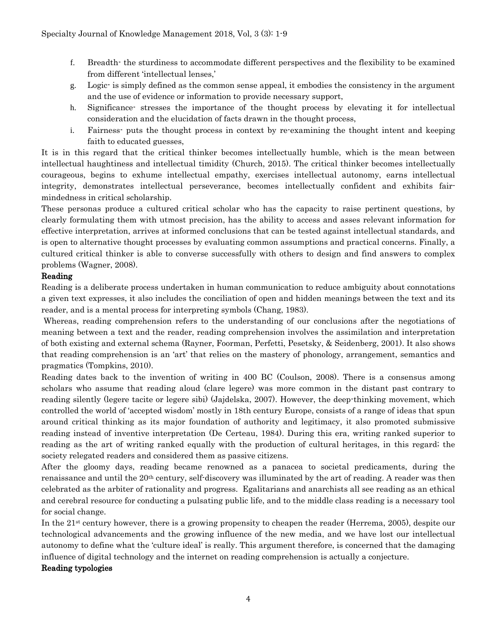- f. Breadth- the sturdiness to accommodate different perspectives and the flexibility to be examined from different 'intellectual lenses,'
- g. Logic- is simply defined as the common sense appeal, it embodies the consistency in the argument and the use of evidence or information to provide necessary support,
- h. Significance- stresses the importance of the thought process by elevating it for intellectual consideration and the elucidation of facts drawn in the thought process,
- i. Fairness- puts the thought process in context by re-examining the thought intent and keeping faith to educated guesses,

It is in this regard that the critical thinker becomes intellectually humble, which is the mean between intellectual haughtiness and intellectual timidity (Church, 2015). The critical thinker becomes intellectually courageous, begins to exhume intellectual empathy, exercises intellectual autonomy, earns intellectual integrity, demonstrates intellectual perseverance, becomes intellectually confident and exhibits fairmindedness in critical scholarship.

These personas produce a cultured critical scholar who has the capacity to raise pertinent questions, by clearly formulating them with utmost precision, has the ability to access and asses relevant information for effective interpretation, arrives at informed conclusions that can be tested against intellectual standards, and is open to alternative thought processes by evaluating common assumptions and practical concerns. Finally, a cultured critical thinker is able to converse successfully with others to design and find answers to complex problems (Wagner, 2008).

## Reading

Reading is a deliberate process undertaken in human communication to reduce ambiguity about connotations a given text expresses, it also includes the conciliation of open and hidden meanings between the text and its reader, and is a mental process for interpreting symbols (Chang, 1983).

Whereas, reading comprehension refers to the understanding of our conclusions after the negotiations of meaning between a text and the reader, reading comprehension involves the assimilation and interpretation of both existing and external schema (Rayner, Foorman, Perfetti, Pesetsky, & Seidenberg, 2001). It also shows that reading comprehension is an 'art' that relies on the mastery of phonology, arrangement, semantics and pragmatics (Tompkins, 2010).

Reading dates back to the invention of writing in 400 BC (Coulson, 2008). There is a consensus among scholars who assume that reading aloud (clare legere) was more common in the distant past contrary to reading silently (legere tacite or legere sibi) (Jajdelska, 2007). However, the deep-thinking movement, which controlled the world of 'accepted wisdom' mostly in 18th century Europe, consists of a range of ideas that spun around critical thinking as its major foundation of authority and legitimacy, it also promoted submissive reading instead of inventive interpretation (De Certeau, 1984). During this era, writing ranked superior to reading as the art of writing ranked equally with the production of cultural heritages, in this regard; the society relegated readers and considered them as passive citizens.

After the gloomy days, reading became renowned as a panacea to societal predicaments, during the renaissance and until the 20th century, self-discovery was illuminated by the art of reading. A reader was then celebrated as the arbiter of rationality and progress. Egalitarians and anarchists all see reading as an ethical and cerebral resource for conducting a pulsating public life, and to the middle class reading is a necessary tool for social change.

In the 21st century however, there is a growing propensity to cheapen the reader (Herrema, 2005), despite our technological advancements and the growing influence of the new media, and we have lost our intellectual autonomy to define what the 'culture ideal' is really. This argument therefore, is concerned that the damaging influence of digital technology and the internet on reading comprehension is actually a conjecture.

### Reading typologies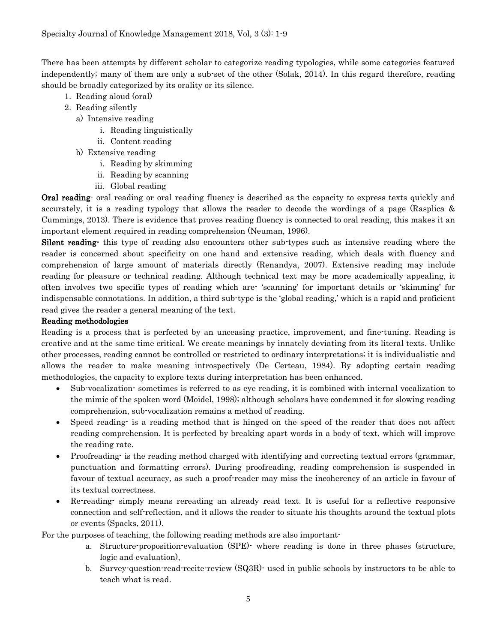There has been attempts by different scholar to categorize reading typologies, while some categories featured independently; many of them are only a sub-set of the other (Solak, 2014). In this regard therefore, reading should be broadly categorized by its orality or its silence.

- 1. Reading aloud (oral)
- 2. Reading silently
	- a) Intensive reading
		- i. Reading linguistically
		- ii. Content reading
	- b) Extensive reading
		- i. Reading by skimming
		- ii. Reading by scanning
		- iii. Global reading

**Oral reading**- oral reading or oral reading fluency is described as the capacity to express texts quickly and accurately, it is a reading typology that allows the reader to decode the wordings of a page (Rasplica & Cummings, 2013). There is evidence that proves reading fluency is connected to oral reading, this makes it an important element required in reading comprehension (Neuman, 1996).

Silent reading- this type of reading also encounters other sub-types such as intensive reading where the reader is concerned about specificity on one hand and extensive reading, which deals with fluency and comprehension of large amount of materials directly (Renandya, 2007). Extensive reading may include reading for pleasure or technical reading. Although technical text may be more academically appealing, it often involves two specific types of reading which are- 'scanning' for important details or 'skimming' for indispensable connotations. In addition, a third sub-type is the 'global reading,' which is a rapid and proficient read gives the reader a general meaning of the text.

## Reading methodologies

Reading is a process that is perfected by an unceasing practice, improvement, and fine-tuning. Reading is creative and at the same time critical. We create meanings by innately deviating from its literal texts. Unlike other processes, reading cannot be controlled or restricted to ordinary interpretations; it is individualistic and allows the reader to make meaning introspectively (De Certeau, 1984). By adopting certain reading methodologies, the capacity to explore texts during interpretation has been enhanced.

- Sub-vocalization- sometimes is referred to as eye reading, it is combined with internal vocalization to the mimic of the spoken word (Moidel, 1998); although scholars have condemned it for slowing reading comprehension, sub-vocalization remains a method of reading.
- Speed reading- is a reading method that is hinged on the speed of the reader that does not affect reading comprehension. It is perfected by breaking apart words in a body of text, which will improve the reading rate.
- Proofreading- is the reading method charged with identifying and correcting textual errors (grammar, punctuation and formatting errors). During proofreading, reading comprehension is suspended in favour of textual accuracy, as such a proof-reader may miss the incoherency of an article in favour of its textual correctness.
- Re-reading- simply means rereading an already read text. It is useful for a reflective responsive connection and self-reflection, and it allows the reader to situate his thoughts around the textual plots or events (Spacks, 2011).

For the purposes of teaching, the following reading methods are also important-

- a. Structure-proposition-evaluation (SPE)- where reading is done in three phases (structure, logic and evaluation),
- b. Survey-question-read-recite-review (SQ3R)- used in public schools by instructors to be able to teach what is read.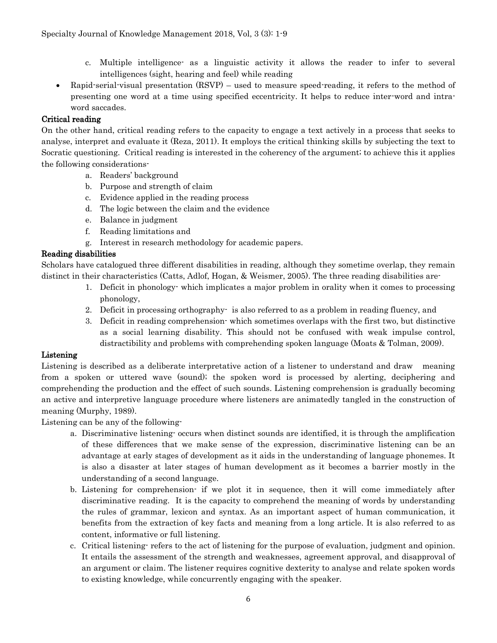- c. Multiple intelligence- as a linguistic activity it allows the reader to infer to several intelligences (sight, hearing and feel) while reading
- Rapid-serial-visual presentation (RSVP) used to measure speed-reading, it refers to the method of presenting one word at a time using specified eccentricity. It helps to reduce inter-word and intraword saccades.

# Critical reading

On the other hand, critical reading refers to the capacity to engage a text actively in a process that seeks to analyse, interpret and evaluate it (Reza, 2011). It employs the critical thinking skills by subjecting the text to Socratic questioning. Critical reading is interested in the coherency of the argument; to achieve this it applies the following considerations-

- a. Readers' background
- b. Purpose and strength of claim
- c. Evidence applied in the reading process
- d. The logic between the claim and the evidence
- e. Balance in judgment
- f. Reading limitations and
- g. Interest in research methodology for academic papers.

## Reading disabilities

Scholars have catalogued three different disabilities in reading, although they sometime overlap, they remain distinct in their characteristics (Catts, Adlof, Hogan, & Weismer, 2005). The three reading disabilities are-

- 1. Deficit in phonology- which implicates a major problem in orality when it comes to processing phonology,
- 2. Deficit in processing orthography- is also referred to as a problem in reading fluency, and
- 3. Deficit in reading comprehension- which sometimes overlaps with the first two, but distinctive as a social learning disability. This should not be confused with weak impulse control, distractibility and problems with comprehending spoken language (Moats & Tolman, 2009).

### Listening

Listening is described as a deliberate interpretative action of a listener to understand and draw meaning from a spoken or uttered wave (sound); the spoken word is processed by alerting, deciphering and comprehending the production and the effect of such sounds. Listening comprehension is gradually becoming an active and interpretive language procedure where listeners are animatedly tangled in the construction of meaning (Murphy, 1989).

Listening can be any of the following-

- a. Discriminative listening- occurs when distinct sounds are identified, it is through the amplification of these differences that we make sense of the expression, discriminative listening can be an advantage at early stages of development as it aids in the understanding of language phonemes. It is also a disaster at later stages of human development as it becomes a barrier mostly in the understanding of a second language.
- b. Listening for comprehension- if we plot it in sequence, then it will come immediately after discriminative reading. It is the capacity to comprehend the meaning of words by understanding the rules of grammar, lexicon and syntax. As an important aspect of human communication, it benefits from the extraction of key facts and meaning from a long article. It is also referred to as content, informative or full listening.
- c. Critical listening- refers to the act of listening for the purpose of evaluation, judgment and opinion. It entails the assessment of the strength and weaknesses, agreement approval, and disapproval of an argument or claim. The listener requires cognitive dexterity to analyse and relate spoken words to existing knowledge, while concurrently engaging with the speaker.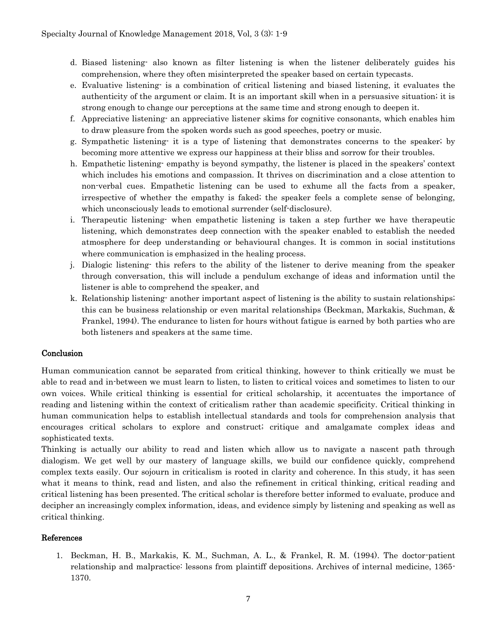- d. Biased listening- also known as filter listening is when the listener deliberately guides his comprehension, where they often misinterpreted the speaker based on certain typecasts.
- e. Evaluative listening- is a combination of critical listening and biased listening, it evaluates the authenticity of the argument or claim. It is an important skill when in a persuasive situation; it is strong enough to change our perceptions at the same time and strong enough to deepen it.
- f. Appreciative listening- an appreciative listener skims for cognitive consonants, which enables him to draw pleasure from the spoken words such as good speeches, poetry or music.
- g. Sympathetic listening- it is a type of listening that demonstrates concerns to the speaker; by becoming more attentive we express our happiness at their bliss and sorrow for their troubles.
- h. Empathetic listening- empathy is beyond sympathy, the listener is placed in the speakers' context which includes his emotions and compassion. It thrives on discrimination and a close attention to non-verbal cues. Empathetic listening can be used to exhume all the facts from a speaker, irrespective of whether the empathy is faked; the speaker feels a complete sense of belonging, which unconsciously leads to emotional surrender (self-disclosure).
- i. Therapeutic listening- when empathetic listening is taken a step further we have therapeutic listening, which demonstrates deep connection with the speaker enabled to establish the needed atmosphere for deep understanding or behavioural changes. It is common in social institutions where communication is emphasized in the healing process.
- j. Dialogic listening- this refers to the ability of the listener to derive meaning from the speaker through conversation, this will include a pendulum exchange of ideas and information until the listener is able to comprehend the speaker, and
- k. Relationship listening- another important aspect of listening is the ability to sustain relationships; this can be business relationship or even marital relationships (Beckman, Markakis, Suchman, & Frankel, 1994). The endurance to listen for hours without fatigue is earned by both parties who are both listeners and speakers at the same time.

# Conclusion

Human communication cannot be separated from critical thinking, however to think critically we must be able to read and in-between we must learn to listen, to listen to critical voices and sometimes to listen to our own voices. While critical thinking is essential for critical scholarship, it accentuates the importance of reading and listening within the context of criticalism rather than academic specificity. Critical thinking in human communication helps to establish intellectual standards and tools for comprehension analysis that encourages critical scholars to explore and construct; critique and amalgamate complex ideas and sophisticated texts.

Thinking is actually our ability to read and listen which allow us to navigate a nascent path through dialogism. We get well by our mastery of language skills, we build our confidence quickly, comprehend complex texts easily. Our sojourn in criticalism is rooted in clarity and coherence. In this study, it has seen what it means to think, read and listen, and also the refinement in critical thinking, critical reading and critical listening has been presented. The critical scholar is therefore better informed to evaluate, produce and decipher an increasingly complex information, ideas, and evidence simply by listening and speaking as well as critical thinking.

### References

1. Beckman, H. B., Markakis, K. M., Suchman, A. L., & Frankel, R. M. (1994). The doctor-patient relationship and malpractice: lessons from plaintiff depositions. Archives of internal medicine, 1365- 1370.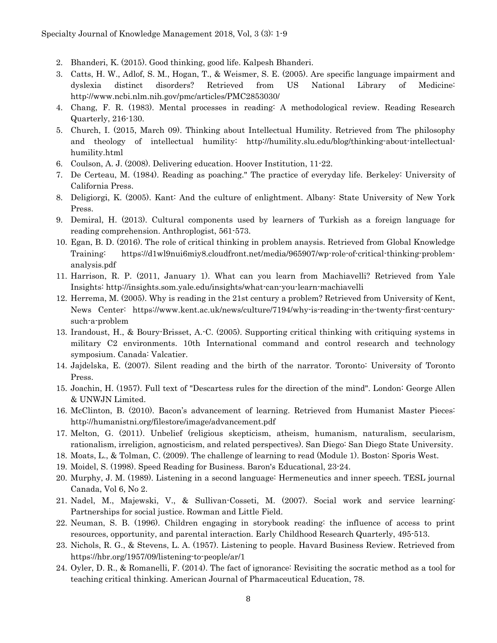- 2. Bhanderi, K. (2015). Good thinking, good life. Kalpesh Bhanderi.
- 3. Catts, H. W., Adlof, S. M., Hogan, T., & Weismer, S. E. (2005). Are specific language impairment and dyslexia distinct disorders? Retrieved from US National Library of Medicine: http://www.ncbi.nlm.nih.gov/pmc/articles/PMC2853030/
- 4. Chang, F. R. (1983). Mental processes in reading: A methodological review. Reading Research Quarterly, 216-130.
- 5. Church, I. (2015, March 09). Thinking about Intellectual Humility. Retrieved from The philosophy and theology of intellectual humility: http://humility.slu.edu/blog/thinking-about-intellectualhumility.html
- 6. Coulson, A. J. (2008). Delivering education. Hoover Institution, 11-22.
- 7. De Certeau, M. (1984). Reading as poaching." The practice of everyday life. Berkeley: University of California Press.
- 8. Deligiorgi, K. (2005). Kant: And the culture of enlightment. Albany: State University of New York Press.
- 9. Demiral, H. (2013). Cultural components used by learners of Turkish as a foreign language for reading comprehension. Anthroplogist, 561-573.
- 10. Egan, B. D. (2016). The role of critical thinking in problem anaysis. Retrieved from Global Knowledge Training: https://d1wl9nui6miy8.cloudfront.net/media/965907/wp-role-of-critical-thinking-problemanalysis.pdf
- 11. Harrison, R. P. (2011, January 1). What can you learn from Machiavelli? Retrieved from Yale Insights: http://insights.som.yale.edu/insights/what-can-you-learn-machiavelli
- 12. Herrema, M. (2005). Why is reading in the 21st century a problem? Retrieved from University of Kent, News Center: https://www.kent.ac.uk/news/culture/7194/why-is-reading-in-the-twenty-first-centurysuch-a-problem
- 13. Irandoust, H., & Boury-Brisset, A.-C. (2005). Supporting critical thinking with critiquing systems in military C2 environments. 10th International command and control research and technology symposium. Canada: Valcatier.
- 14. Jajdelska, E. (2007). Silent reading and the birth of the narrator. Toronto: University of Toronto Press.
- 15. Joachin, H. (1957). Full text of "Descartess rules for the direction of the mind". London: George Allen & UNWJN Limited.
- 16. McClinton, B. (2010). Bacon's advancement of learning. Retrieved from Humanist Master Pieces: http://humanistni.org/filestore/image/advancement.pdf
- 17. Melton, G. (2011). Unbelief (religious skepticism, atheism, humanism, naturalism, secularism, rationalism, irreligion, agnosticism, and related perspectives). San Diego: San Diego State University.
- 18. Moats, L., & Tolman, C. (2009). The challenge of learning to read (Module 1). Boston: Sporis West.
- 19. Moidel, S. (1998). Speed Reading for Business. Baron's Educational, 23-24.
- 20. Murphy, J. M. (1989). Listening in a second language: Hermeneutics and inner speech. TESL journal Canada, Vol 6, No 2.
- 21. Nadel, M., Majewski, V., & Sullivan-Cosseti, M. (2007). Social work and service learning: Partnerships for social justice. Rowman and Little Field.
- 22. Neuman, S. B. (1996). Children engaging in storybook reading: the influence of access to print resources, opportunity, and parental interaction. Early Childhood Research Quarterly, 495-513.
- 23. Nichols, R. G., & Stevens, L. A. (1957). Listening to people. Havard Business Review. Retrieved from https://hbr.org/1957/09/listening-to-people/ar/1
- 24. Oyler, D. R., & Romanelli, F. (2014). The fact of ignorance: Revisiting the socratic method as a tool for teaching critical thinking. American Journal of Pharmaceutical Education, 78.